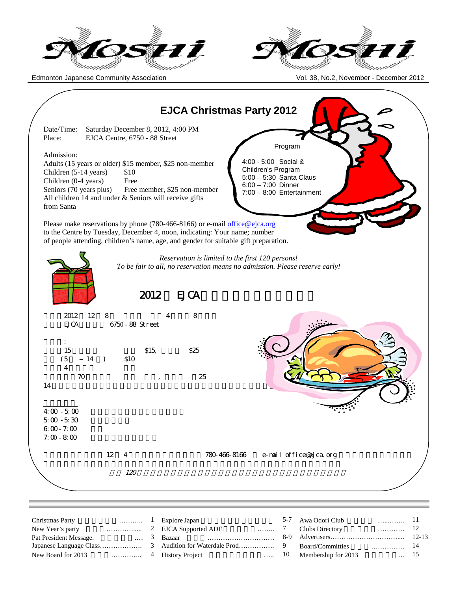



Edmonton Japanese Community Association Vol. 38, No.2, November - December 2012



| Christmas Party  |  | $\ldots$ $\ldots$ $1$ Explore Japan                                                                                                                                                                                            | 5-7 Awa Odori Club<br><u>11</u>               |  |
|------------------|--|--------------------------------------------------------------------------------------------------------------------------------------------------------------------------------------------------------------------------------|-----------------------------------------------|--|
| New Year's party |  | $\ldots$ 2 EJCA Supported ADF                                                                                                                                                                                                  | $\ldots$ 7 Clubs Directory<br>. 12            |  |
|                  |  | Pat President Message. 212-13 Bazaar 22.13 Bazaar 22.13 Early 23.13 Bazaar 23.13 Early 23.13 Early 23.13 Early 23.13 Early 23.13 Early 23.13 Early 23.13 Early 23.13 Early 23.13 Early 23.13 Early 24.13 Early 24.13 Early 24. |                                               |  |
|                  |  |                                                                                                                                                                                                                                |                                               |  |
|                  |  |                                                                                                                                                                                                                                | $\dots$ 10 Membership for 2013<br>$\ldots$ 15 |  |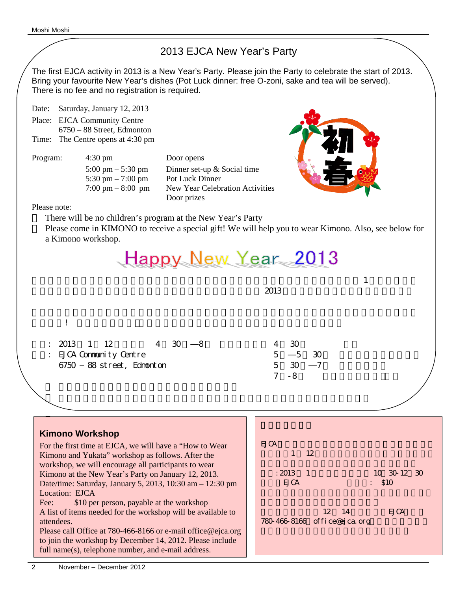# 2013 EJCA New Year's Party

The first EJCA activity in 2013 is a New Year's Party. Please join the Party to celebrate the start of 2013. Bring your favourite New Year's dishes (Pot Luck dinner: free O-zoni, sake and tea will be served). There is no fee and no registration is required.

Date: Saturday, January 12, 2013 Place: EJCA Community Centre 6750 – 88 Street, Edmonton Time: The Centre opens at 4:30 pm

#### Program: 4:30 pm Door opens

 $5:30 \text{ pm} - 7:00 \text{ pm}$  Pot Luck Dinner

5:00 pm – 5:30 pm – Dinner set-up  $& Social time$ 7:00 pm – 8:00 pm New Year Celebration Activities Door prizes



#### Please note:

There will be no children's program at the New Year's Party

Please come in KIMONO to receive a special gift! We will help you to wear Kimono. Also, see below for a Kimono workshop.



 $\mathbf 1$ 

ー <br>- アメリカのサイトがあります。<br>- アメリカのサイトがあります。

 $2013$ 

 $7 - 8$ 

歓迎です! お雑煮と日本酒・お茶は会で出します。参加は無料、予約も要りません。

- $1 2013 1 12 4 30 8 4 30$ : EJCA Community Centre 5 5 30
	- 6750 88 street, Edmonton 5 30 7

| <b>Kimono Workshop</b> |
|------------------------|

For the first time at EJCA, we will have a "How to Wear Kimono and Yukata" workshop as follows. After the workshop, we will encourage all participants to wear Kimono at the New Year's Party on January 12, 2013. Date/time: Saturday, January 5, 2013, 10:30 am – 12:30 pm Location: EJCA Fee: \$10 per person, payable at the workshop A list of items needed for the workshop will be available to attendees. Please call Office at 780-466-8166 or e-mail office@ejca.org to join the workshop by December 14, 2012. Please include full name(s), telephone number, and e-mail address.

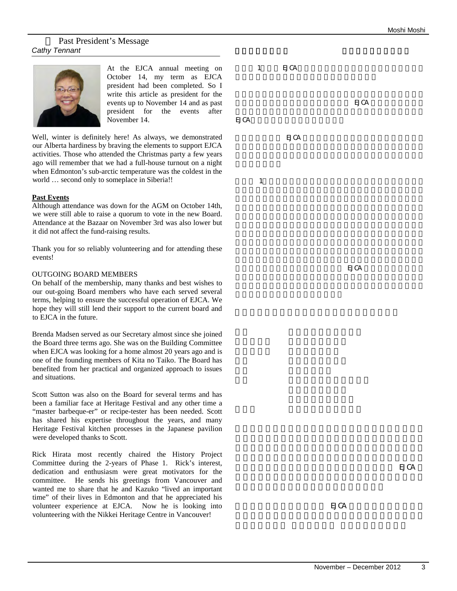#### Past President's Message *Cathy Tennant*



At the EJCA annual meeting on October 14, my term as EJCA president had been completed. So I write this article as president for the events up to November 14 and as past president for the events after November 14.

Well, winter is definitely here! As always, we demonstrated our Alberta hardiness by braving the elements to support EJCA activities. Those who attended the Christmas party a few years ago will remember that we had a full-house turnout on a night when Edmonton's sub-arctic temperature was the coldest in the world … second only to someplace in Siberia!!

#### **Past Events**

Although attendance was down for the AGM on October 14th, we were still able to raise a quorum to vote in the new Board. Attendance at the Bazaar on November 3rd was also lower but it did not affect the fund-raising results.

Thank you for so reliably volunteering and for attending these events!

#### OUTGOING BOARD MEMBERS

On behalf of the membership, many thanks and best wishes to our out-going Board members who have each served several terms, helping to ensure the successful operation of EJCA. We hope they will still lend their support to the current board and to EJCA in the future.

Brenda Madsen served as our Secretary almost since she joined the Board three terms ago. She was on the Building Committee when EJCA was looking for a home almost 20 years ago and is one of the founding members of Kita no Taiko. The Board has benefited from her practical and organized approach to issues and situations.

Scott Sutton was also on the Board for several terms and has been a familiar face at Heritage Festival and any other time a "master barbeque-er" or recipe-tester has been needed. Scott has shared his expertise throughout the years, and many Heritage Festival kitchen processes in the Japanese pavilion were developed thanks to Scott.

Rick Hirata most recently chaired the History Project Committee during the 2-years of Phase 1. Rick's interest, dedication and enthusiasm were great motivators for the committee. He sends his greetings from Vancouver and wanted me to share that he and Kazuko "lived an important time" of their lives in Edmonton and that he appreciated his volunteer experience at EJCA. Now he is looking into volunteering with the Nikkei Heritage Centre in Vancouver!

 $1$  EJCA  $\blacksquare$ 

**EJCA** 

 $EJCA$ 

 $10C-A$ 

 $EJCA$ 

 $1$ 

 $EJCA$ 

EJCA EJCA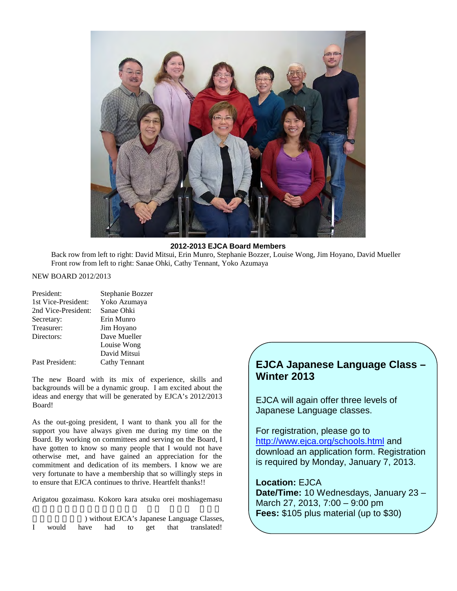

#### **2012-2013 EJCA Board Members**

Back row from left to right: David Mitsui, Erin Munro, Stephanie Bozzer, Louise Wong, Jim Hoyano, David Mueller Front row from left to right: Sanae Ohki, Cathy Tennant, Yoko Azumaya

NEW BOARD 2012/2013

| Stephanie Bozzer     |
|----------------------|
| Yoko Azumaya         |
| Sanae Ohki           |
| Erin Munro           |
| Jim Hoyano           |
| Dave Mueller         |
| Louise Wong          |
| David Mitsui         |
| <b>Cathy Tennant</b> |
|                      |

The new Board with its mix of experience, skills and backgrounds will be a dynamic group. I am excited about the ideas and energy that will be generated by EJCA's 2012/2013 Board!

As the out-going president, I want to thank you all for the support you have always given me during my time on the Board. By working on committees and serving on the Board, I have gotten to know so many people that I would not have otherwise met, and have gained an appreciation for the commitment and dedication of its members. I know we are very fortunate to have a membership that so willingly steps in to ensure that EJCA continues to thrive. Heartfelt thanks!!

Arigatou gozaimasu. Kokoro kara atsuku orei moshiagemasu  $($ 

) without EJCA's Japanese Language Classes, I would have had to get that translated!

# **EJCA Japanese Language Class – Winter 2013**

EJCA will again offer three levels of Japanese Language classes.

For registration, please go to http://www.ejca.org/schools.html and download an application form. Registration is required by Monday, January 7, 2013.

## **Location:** EJCA

**Date/Time:** 10 Wednesdays, January 23 – March 27, 2013, 7:00 – 9:00 pm **Fees:** \$105 plus material (up to \$30)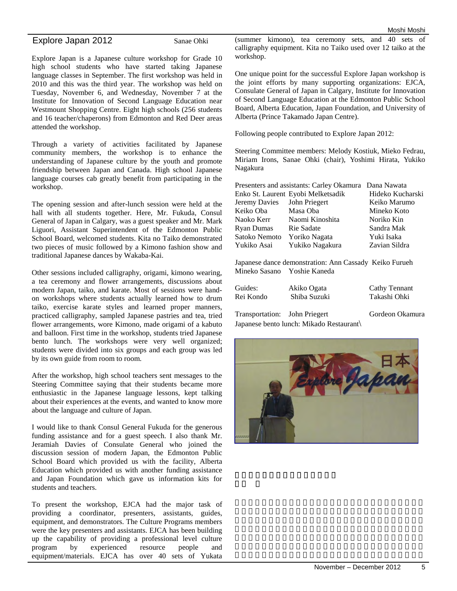#### Explore Japan 2012 Sanae Ohki

Explore Japan is a Japanese culture workshop for Grade 10 high school students who have started taking Japanese language classes in September. The first workshop was held in 2010 and this was the third year. The workshop was held on Tuesday, November 6, and Wednesday, November 7 at the Institute for Innovation of Second Language Education near Westmount Shopping Centre. Eight high schools (256 students and 16 teacher/chaperons) from Edmonton and Red Deer areas attended the workshop.

Through a variety of activities facilitated by Japanese community members, the workshop is to enhance the understanding of Japanese culture by the youth and promote friendship between Japan and Canada. High school Japanese language courses cab greatly benefit from participating in the workshop.

The opening session and after-lunch session were held at the hall with all students together. Here, Mr. Fukuda, Consul General of Japan in Calgary, was a guest speaker and Mr. Mark Liguori, Assistant Superintendent of the Edmonton Public School Board, welcomed students. Kita no Taiko demonstrated two pieces of music followed by a Kimono fashion show and traditional Japanese dances by Wakaba-Kai.

Other sessions included calligraphy, origami, kimono wearing, a tea ceremony and flower arrangements, discussions about modern Japan, taiko, and karate. Most of sessions were handon workshops where students actually learned how to drum taiko, exercise karate styles and learned proper manners, practiced calligraphy, sampled Japanese pastries and tea, tried flower arrangements, wore Kimono, made origami of a kabuto and balloon. First time in the workshop, students tried Japanese bento lunch. The workshops were very well organized; students were divided into six groups and each group was led by its own guide from room to room.

After the workshop, high school teachers sent messages to the Steering Committee saying that their students became more enthusiastic in the Japanese language lessons, kept talking about their experiences at the events, and wanted to know more about the language and culture of Japan.

I would like to thank Consul General Fukuda for the generous funding assistance and for a guest speech. I also thank Mr. Jeramiah Davies of Consulate General who joined the discussion session of modern Japan, the Edmonton Public School Board which provided us with the facility, Alberta Education which provided us with another funding assistance and Japan Foundation which gave us information kits for students and teachers.

To present the workshop, EJCA had the major task of providing a coordinator, presenters, assistants, guides, equipment, and demonstrators. The Culture Programs members were the key presenters and assistants. EJCA has been building up the capability of providing a professional level culture program by experienced resource people and equipment/materials. EJCA has over 40 sets of Yukata

(summer kimono), tea ceremony sets, and 40 sets of calligraphy equipment. Kita no Taiko used over 12 taiko at the workshop.

One unique point for the successful Explore Japan workshop is the joint efforts by many supporting organizations: EJCA, Consulate General of Japan in Calgary, Institute for Innovation of Second Language Education at the Edmonton Public School Board, Alberta Education, Japan Foundation, and University of Alberta (Prince Takamado Japan Centre).

Following people contributed to Explore Japan 2012:

Steering Committee members: Melody Kostiuk, Mieko Fedrau, Miriam Irons, Sanae Ohki (chair), Yoshimi Hirata, Yukiko Nagakura

|                                                        | Presenters and assistants: Carley Okamura | Dana Nawata      |  |  |
|--------------------------------------------------------|-------------------------------------------|------------------|--|--|
|                                                        | Enko St. Laurent Eyobi Melketsadik        | Hideko Kucharski |  |  |
| Jeremy Davies                                          | John Priegert                             | Keiko Marumo     |  |  |
| Keiko Oba                                              | Masa Oba                                  | Mineko Koto      |  |  |
| Naoko Kerr                                             | Naomi Kinoshita                           | Noriko Kin       |  |  |
| Ryan Dumas                                             | Rie Sadate                                | Sandra Mak       |  |  |
| Satoko Nemoto                                          | Yoriko Nagata                             | Yuki Isaka       |  |  |
| Yukiko Asai                                            | Yukiko Nagakura                           | Zavian Sildra    |  |  |
| Japanese dance demonstration: Ann Cassady Keiko Furueh |                                           |                  |  |  |
| Mineko Sasano Yoshie Kaneda                            |                                           |                  |  |  |
| Guides:                                                | Akiko Ogata                               | Cathy Tennant    |  |  |
| Rei Kondo                                              | Shiba Suzuki                              | Takashi Ohki     |  |  |
| <b>Transportation:</b> John Priegert                   |                                           | Gordeon Okamura  |  |  |

Japanese bento lunch: Mikado Restaurant\

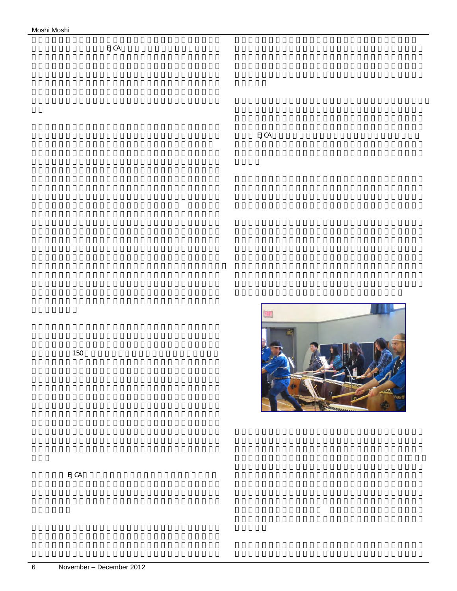$EJCA$ 

 $EJCA$ 



 $150$ 

EJCA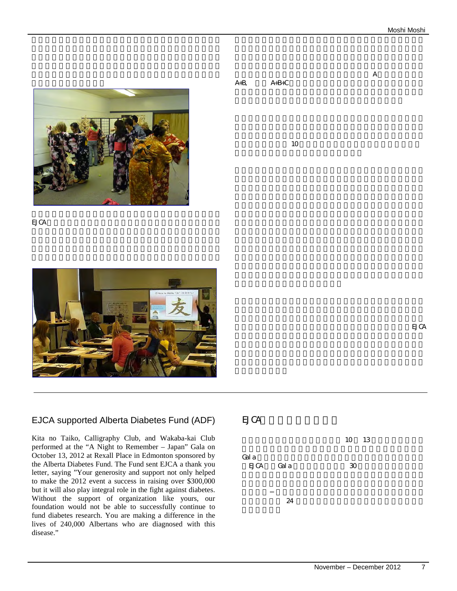$EJCA$ 



## EJCA supported Alberta Diabetes Fund (ADF)

Kita no Taiko, Calligraphy Club, and Wakaba-kai Club performed at the "A Night to Remember – Japan" Gala on October 13, 2012 at Rexall Place in Edmonton sponsored by the Alberta Diabetes Fund. The Fund sent EJCA a thank you letter, saying "Your generosity and support not only helped to make the 2012 event a success in raising over \$300,000 but it will also play integral role in the fight against diabetes. Without the support of organization like yours, our foundation would not be able to successfully continue to fund diabetes research. You are making a difference in the lives of 240,000 Albertans who are diagnosed with this disease."

# **EJCA**



#### $\mathbf A$  $A+B$ ,  $A+B+C$

 $10$ 

 $EJ$ CA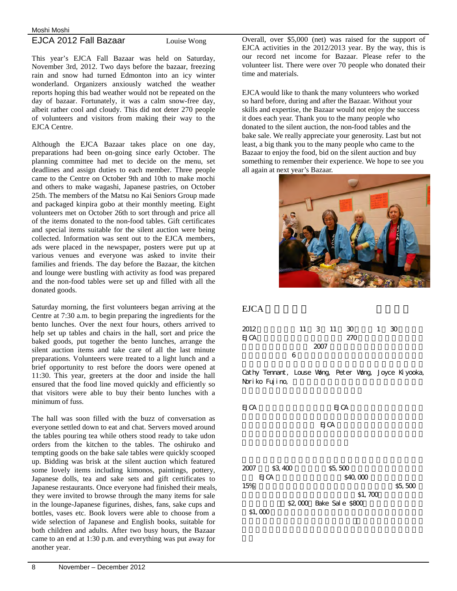## EJCA 2012 Fall Bazaar Louise Wong

This year's EJCA Fall Bazaar was held on Saturday, November 3rd, 2012. Two days before the bazaar, freezing rain and snow had turned Edmonton into an icy winter wonderland. Organizers anxiously watched the weather reports hoping this bad weather would not be repeated on the day of bazaar. Fortunately, it was a calm snow-free day, albeit rather cool and cloudy. This did not deter 270 people of volunteers and visitors from making their way to the EJCA Centre.

Although the EJCA Bazaar takes place on one day, preparations had been on-going since early October. The planning committee had met to decide on the menu, set deadlines and assign duties to each member. Three people came to the Centre on October 9th and 10th to make mochi and others to make wagashi, Japanese pastries, on October 25th. The members of the Matsu no Kai Seniors Group made and packaged kinpira gobo at their monthly meeting. Eight volunteers met on October 26th to sort through and price all of the items donated to the non-food tables. Gift certificates and special items suitable for the silent auction were being collected. Information was sent out to the EJCA members, ads were placed in the newspaper, posters were put up at various venues and everyone was asked to invite their families and friends. The day before the Bazaar, the kitchen and lounge were bustling with activity as food was prepared and the non-food tables were set up and filled with all the donated goods.

Saturday morning, the first volunteers began arriving at the Centre at 7:30 a.m. to begin preparing the ingredients for the bento lunches. Over the next four hours, others arrived to help set up tables and chairs in the hall, sort and price the baked goods, put together the bento lunches, arrange the silent auction items and take care of all the last minute preparations. Volunteers were treated to a light lunch and a brief opportunity to rest before the doors were opened at 11:30. This year, greeters at the door and inside the hall ensured that the food line moved quickly and efficiently so that visitors were able to buy their bento lunches with a minimum of fuss.

The hall was soon filled with the buzz of conversation as everyone settled down to eat and chat. Servers moved around the tables pouring tea while others stood ready to take udon orders from the kitchen to the tables. The oshiruko and tempting goods on the bake sale tables were quickly scooped up. Bidding was brisk at the silent auction which featured some lovely items including kimonos, paintings, pottery, Japanese dolls, tea and sake sets and gift certificates to Japanese restaurants. Once everyone had finished their meals, they were invited to browse through the many items for sale in the lounge-Japanese figurines, dishes, fans, sake cups and bottles, vases etc. Book lovers were able to choose from a wide selection of Japanese and English books, suitable for both children and adults. After two busy hours, the Bazaar came to an end at 1:30 p.m. and everything was put away for another year.

Overall, over \$5,000 (net) was raised for the support of EJCA activities in the 2012/2013 year. By the way, this is our record net income for Bazaar. Please refer to the volunteer list. There were over 70 people who donated their time and materials.

EJCA would like to thank the many volunteers who worked so hard before, during and after the Bazaar. Without your skills and expertise, the Bazaar would not enjoy the success it does each year. Thank you to the many people who donated to the silent auction, the non-food tables and the bake sale. We really appreciate your generosity. Last but not least, a big thank you to the many people who came to the Bazaar to enjoy the food, bid on the silent auction and buy something to remember their experience. We hope to see you all again at next year's Bazaar.



#### EJCA バザー報告 大木早苗

| 2012 |   |      | 11 3 11 30 |     | $\mathbf{1}$ | -30 |  |
|------|---|------|------------|-----|--------------|-----|--|
| EJCA |   |      |            | 270 |              |     |  |
|      |   | 2007 |            |     |              |     |  |
|      | в |      |            |     |              |     |  |

Cathy Tennant, Louse Wong, Peter Wong, Joyce Kiyooka, Noriko Fujino,

EJCA **EJCA EJCA**  $EJCA$ 2007 \$3,400 \$5,500  $EJCA$   $\qquad \qquad$  \$40,000  $15\%$  55,500  $\frac{15\%}{25,500}$ 

|        | S1.700                  |
|--------|-------------------------|
|        | \$2,000 Bake Sale \$800 |
| S1.000 |                         |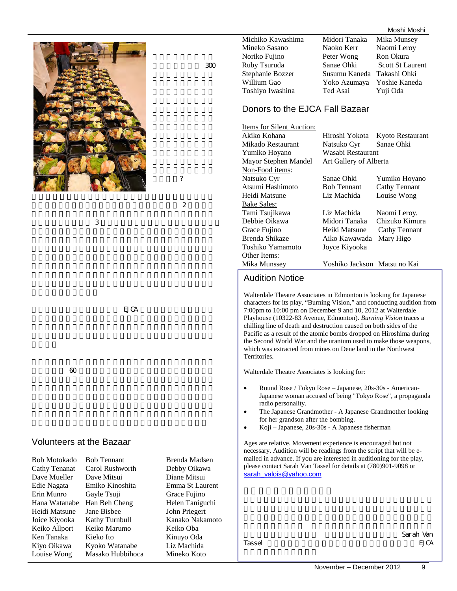

 $300$ 

 $\overline{?}$ 

 $3$ 

 $\overline{c}$ 

 $EJCA$ 

 $60$ 

## Volunteers at the Bazaar

| <b>Bob Motokado</b>  | <b>Bob Tennant</b> | Brenda Madsen   |
|----------------------|--------------------|-----------------|
| <b>Cathy Tenanat</b> | Carol Rushworth    | Debby Oikawa    |
| Dave Mueller         | Dave Mitsui        | Diane Mitsui    |
| Edie Nagata          | Emiko Kinoshita    | Emma St Laurent |
| Erin Munro           | Gayle Tsuji        | Grace Fujino    |
| Hana Watanabe        | Han Beh Cheng      | Helen Taniguchi |
| Heidi Matsune        | Jane Bisbee        | John Priegert   |
| Joice Kiyooka        | Kathy Turnbull     | Kanako Nakamoto |
| Keiko Allport        | Keiko Marumo       | Keiko Oba       |
| Ken Tanaka           | Kieko Ito          | Kinuyo Oda      |
| Kiyo Oikawa          | Kyoko Watanabe     | Liz Machida     |
| Louise Wong          | Masako Hubbihoca   | Mineko Koto     |

| Michiko Kawashima                                                                                                                                                                                                                                                                                                                                                                                                                                                                                                                                                              | Midori Tanaka          | Mika Munsey             |  |  |  |
|--------------------------------------------------------------------------------------------------------------------------------------------------------------------------------------------------------------------------------------------------------------------------------------------------------------------------------------------------------------------------------------------------------------------------------------------------------------------------------------------------------------------------------------------------------------------------------|------------------------|-------------------------|--|--|--|
| Mineko Sasano                                                                                                                                                                                                                                                                                                                                                                                                                                                                                                                                                                  | Naoko Kerr             | Naomi Leroy             |  |  |  |
| Noriko Fujino                                                                                                                                                                                                                                                                                                                                                                                                                                                                                                                                                                  | Peter Wong             | Ron Okura               |  |  |  |
| Ruby Tsuruda                                                                                                                                                                                                                                                                                                                                                                                                                                                                                                                                                                   | Sanae Ohki             | <b>Scott St Laurent</b> |  |  |  |
| Stephanie Bozzer                                                                                                                                                                                                                                                                                                                                                                                                                                                                                                                                                               | Susumu Kaneda          | Takashi Ohki            |  |  |  |
| Willium Gao                                                                                                                                                                                                                                                                                                                                                                                                                                                                                                                                                                    | Yoko Azumaya           | Yoshie Kaneda           |  |  |  |
| Toshiyo Iwashina                                                                                                                                                                                                                                                                                                                                                                                                                                                                                                                                                               | <b>Ted Asai</b>        | Yuji Oda                |  |  |  |
| Donors to the EJCA Fall Bazaar                                                                                                                                                                                                                                                                                                                                                                                                                                                                                                                                                 |                        |                         |  |  |  |
| Items for Silent Auction:                                                                                                                                                                                                                                                                                                                                                                                                                                                                                                                                                      |                        |                         |  |  |  |
| Akiko Kohana                                                                                                                                                                                                                                                                                                                                                                                                                                                                                                                                                                   | Hiroshi Yokota         | Kyoto Restaurant        |  |  |  |
| Mikado Restaurant                                                                                                                                                                                                                                                                                                                                                                                                                                                                                                                                                              | Natsuko Cyr            | Sanae Ohki              |  |  |  |
| Yumiko Hoyano                                                                                                                                                                                                                                                                                                                                                                                                                                                                                                                                                                  | Wasabi Restaurant      |                         |  |  |  |
| Mayor Stephen Mandel                                                                                                                                                                                                                                                                                                                                                                                                                                                                                                                                                           | Art Gallery of Alberta |                         |  |  |  |
| Non-Food items:                                                                                                                                                                                                                                                                                                                                                                                                                                                                                                                                                                |                        |                         |  |  |  |
| Natsuko Cyr                                                                                                                                                                                                                                                                                                                                                                                                                                                                                                                                                                    | Sanae Ohki             | Yumiko Hoyano           |  |  |  |
| Atsumi Hashimoto                                                                                                                                                                                                                                                                                                                                                                                                                                                                                                                                                               | <b>Bob Tennant</b>     | <b>Cathy Tennant</b>    |  |  |  |
| Heidi Matsune                                                                                                                                                                                                                                                                                                                                                                                                                                                                                                                                                                  | Liz Machida            | Louise Wong             |  |  |  |
| <b>Bake Sales:</b>                                                                                                                                                                                                                                                                                                                                                                                                                                                                                                                                                             |                        |                         |  |  |  |
| Tami Tsujikawa                                                                                                                                                                                                                                                                                                                                                                                                                                                                                                                                                                 | Liz Machida            | Naomi Leroy,            |  |  |  |
| Debbie Oikawa                                                                                                                                                                                                                                                                                                                                                                                                                                                                                                                                                                  | Midori Tanaka          | Chizuko Kimura          |  |  |  |
| Grace Fujino                                                                                                                                                                                                                                                                                                                                                                                                                                                                                                                                                                   | Heiki Matsune          | <b>Cathy Tennant</b>    |  |  |  |
| <b>Brenda Shikaze</b>                                                                                                                                                                                                                                                                                                                                                                                                                                                                                                                                                          | Aiko Kawawada          | Mary Higo               |  |  |  |
| Toshiko Yamamoto                                                                                                                                                                                                                                                                                                                                                                                                                                                                                                                                                               | Joyce Kiyooka          |                         |  |  |  |
| Other Items:                                                                                                                                                                                                                                                                                                                                                                                                                                                                                                                                                                   |                        |                         |  |  |  |
| Mika Munssey                                                                                                                                                                                                                                                                                                                                                                                                                                                                                                                                                                   | Yoshiko Jackson        | Matsu no Kai            |  |  |  |
| <b>Audition Notice</b>                                                                                                                                                                                                                                                                                                                                                                                                                                                                                                                                                         |                        |                         |  |  |  |
| Walterdale Theatre Associates in Edmonton is looking for Japanese<br>characters for its play, "Burning Vision," and conducting audition from<br>7:00pm to 10:00 pm on December 9 and 10, 2012 at Walterdale<br>Playhouse (10322-83 Avenue, Edmonton). Burning Vision traces a<br>chilling line of death and destruction caused on both sides of the<br>Pacific as a result of the atomic bombs dropped on Hiroshima during<br>the Second World War and the uranium used to make those weapons,<br>which was extracted from mines on Dene land in the Northwest<br>Territories. |                        |                         |  |  |  |

Moshi Moshi

Walterdale Theatre Associates is looking for:

- · Round Rose / Tokyo Rose Japanese, 20s-30s American-Japanese woman accused of being "Tokyo Rose", a propaganda radio personality.
- The Japanese Grandmother A Japanese Grandmother looking for her grandson after the bombing.
- · Koji Japanese, 20s-30s A Japanese fisherman

Ages are relative. Movement experience is encouraged but not necessary. Audition will be readings from the script that will be emailed in advance. If you are interested in auditioning for the play, please contact Sarah Van Tassel for details at (780)901-9098 or sarah\_valois@yahoo.com

Sarah Van  ${\bf \textcolor{red}{EJCA}}$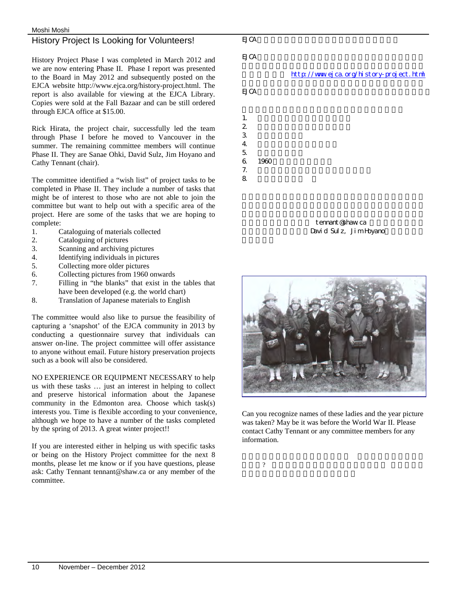## History Project Is Looking for Volunteers!

History Project Phase I was completed in March 2012 and we are now entering Phase II. Phase I report was presented to the Board in May 2012 and subsequently posted on the EJCA website http://www.ejca.org/history-project.html. The report is also available for viewing at the EJCA Library. Copies were sold at the Fall Bazaar and can be still ordered through EJCA office at \$15.00.

Rick Hirata, the project chair, successfully led the team through Phase I before he moved to Vancouver in the summer. The remaining committee members will continue Phase II. They are Sanae Ohki, David Sulz, Jim Hoyano and Cathy Tennant (chair).

The committee identified a "wish list" of project tasks to be completed in Phase II. They include a number of tasks that might be of interest to those who are not able to join the committee but want to help out with a specific area of the project. Here are some of the tasks that we are hoping to complete:

- 1. Cataloguing of materials collected
- 2. Cataloguing of pictures
- 3. Scanning and archiving pictures
- 4. Identifying individuals in pictures
- 5. Collecting more older pictures
- 6. Collecting pictures from 1960 onwards
- 7. Filling in "the blanks" that exist in the tables that have been developed (e.g. the world chart)
- 8. Translation of Japanese materials to English

The committee would also like to pursue the feasibility of capturing a 'snapshot' of the EJCA community in 2013 by conducting a questionnaire survey that individuals can answer on-line. The project committee will offer assistance to anyone without email. Future history preservation projects such as a book will also be considered.

NO EXPERIENCE OR EQUIPMENT NECESSARY to help us with these tasks … just an interest in helping to collect and preserve historical information about the Japanese community in the Edmonton area. Choose which task(s) interests you. Time is flexible according to your convenience, although we hope to have a number of the tasks completed by the spring of 2013. A great winter project!!

If you are interested either in helping us with specific tasks or being on the History Project committee for the next 8 months, please let me know or if you have questions, please ask: Cathy Tennant tennant@shaw.ca or any member of the committee.







Can you recognize names of these ladies and the year picture was taken? May be it was before the World War II. Please contact Cathy Tennant or any committee members for any information.

ょうか? ご存知でしたら、キャシー・テナント または他の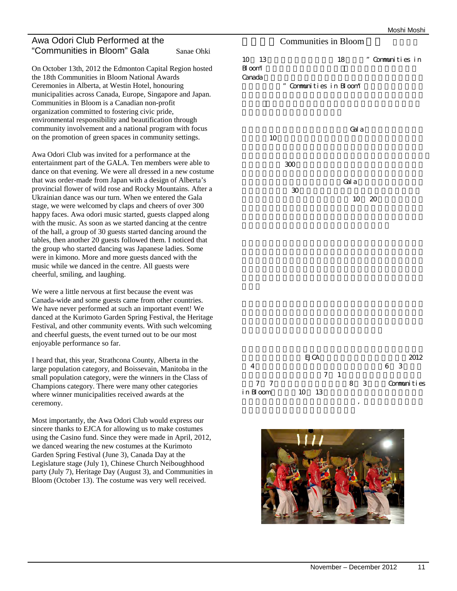## Awa Odori Club Performed at the "Communities in Bloom" Gala Sanae Ohki

On October 13th, 2012 the Edmonton Capital Region hosted the 18th Communities in Bloom National Awards Ceremonies in Alberta, at Westin Hotel, honouring municipalities across Canada, Europe, Singapore and Japan. Communities in Bloom is a Canadian non-profit organization committed to fostering civic pride, environmental responsibility and beautification through community involvement and a national program with focus on the promotion of green spaces in community settings.

Awa Odori Club was invited for a performance at the entertainment part of the GALA. Ten members were able to dance on that evening. We were all dressed in a new costume that was order-made from Japan with a design of Alberta's provincial flower of wild rose and Rocky Mountains. After a Ukrainian dance was our turn. When we entered the Gala stage, we were welcomed by claps and cheers of over 300 happy faces. Awa odori music started, guests clapped along with the music. As soon as we started dancing at the centre of the hall, a group of 30 guests started dancing around the tables, then another 20 guests followed them. I noticed that the group who started dancing was Japanese ladies. Some were in kimono. More and more guests danced with the music while we danced in the centre. All guests were cheerful, smiling, and laughing.

We were a little nervous at first because the event was Canada-wide and some guests came from other countries. We have never performed at such an important event! We danced at the Kurimoto Garden Spring Festival, the Heritage Festival, and other community events. With such welcoming and cheerful guests, the event turned out to be our most enjoyable performance so far.

I heard that, this year, Strathcona County, Alberta in the large population category, and Boissevain, Manitoba in the small population category, were the winners in the Class of Champions category. There were many other categories where winner municipalities received awards at the ceremony.

Most importantly, the Awa Odori Club would express our sincere thanks to EJCA for allowing us to make costumes using the Casino fund. Since they were made in April, 2012, we danced wearing the new costumes at the Kurimoto Garden Spring Festival (June 3), Canada Day at the Legislature stage (July 1), Chinese Church Neiboughhood party (July 7), Heritage Day (August 3), and Communities in Bloom (October 13). The costume was very well received.

10 13 18 "Communities in Bloom" Canada だけではなく、ヨーロッパ、シンガポール、日本が参 Communities in Bloom"  $Gala$  $10$  $300$  $Gala$  $30$  $10\quad 20$  $EJCA$  2012 4 6 3  $7 \quad 1$ 7 7 8 3 Communities  $\sin \text{B}$  com  $\qquad 10 \quad 13$  $\overline{\mathcal{S}}$ 

Communities in Bloom

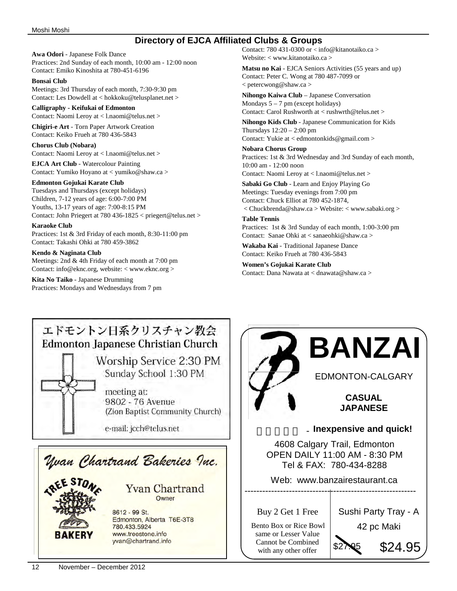## **Directory of EJCA Affiliated Clubs & Groups**

**Awa Odori** - Japanese Folk Dance Practices: 2nd Sunday of each month, 10:00 am - 12:00 noon Contact: Emiko Kinoshita at 780-451-6196

**Bonsai Club**  Meetings: 3rd Thursday of each month, 7:30-9:30 pm Contact: Les Dowdell at < hokkoku@telusplanet.net >

**Calligraphy - Keifukai of Edmonton**  Contact: Naomi Leroy at < l.naomi@telus.net >

**Chigiri-e Art** - Torn Paper Artwork Creation Contact: Keiko Frueh at 780 436-5843

**Chorus Club (Nobara)**  Contact: Naomi Leroy at < l.naomi@telus.net >

**EJCA Art Club** - Watercolour Painting Contact: Yumiko Hoyano at < yumiko@shaw.ca >

#### **Edmonton Gojukai Karate Club**

Tuesdays and Thursdays (except holidays) Children, 7-12 years of age: 6:00-7:00 PM Youths, 13-17 years of age: 7:00-8:15 PM Contact: John Priegert at 780 436-1825 < priegert@telus.net >

**Karaoke Club** 

Practices: 1st & 3rd Friday of each month, 8:30-11:00 pm Contact: Takashi Ohki at 780 459-3862

**Kendo & Naginata Club** 

Meetings: 2nd & 4th Friday of each month at 7:00 pm Contact: info@eknc.org, website: < www.eknc.org >

**Kita No Taiko** - Japanese Drumming Practices: Mondays and Wednesdays from 7 pm Contact: 780 431-0300 or  $\langle$  info@kitanotaiko.ca  $\rangle$ Website: < www.kitanotaiko.ca > **Matsu no Kai** - EJCA Seniors Activities (55 years and up)

Contact: Peter C. Wong at 780 487-7099 or < petercwong@shaw.ca > **Nihongo Kaiwa Club** – Japanese Conversation

Mondays  $5 - 7$  pm (except holidays) Contact: Carol Rushworth at < rushwrth@telus.net >

**Nihongo Kids Club** - Japanese Communication for Kids Thursdays 12:20 – 2:00 pm Contact: Yukie at < edmontonkids@gmail.com >

**Nobara Chorus Group**  Practices: 1st & 3rd Wednesday and 3rd Sunday of each month, 10:00 am - 12:00 noon Contact: Naomi Leroy at < l.naomi@telus.net >

**Sabaki Go Club** - Learn and Enjoy Playing Go Meetings: Tuesday evenings from 7:00 pm Contact: Chuck Elliot at 780 452-1874, < Chuckbrenda@shaw.ca > Website: < www.sabaki.org >

**Table Tennis**  Practices: 1st & 3rd Sunday of each month, 1:00-3:00 pm Contact: Sanae Ohki at < sanaeohki@shaw.ca >

**Wakaba Kai** - Traditional Japanese Dance Contact: Keiko Frueh at 780 436-5843

**Women's Gojukai Karate Club**  Contact: Dana Nawata at < dnawata@shaw.ca >

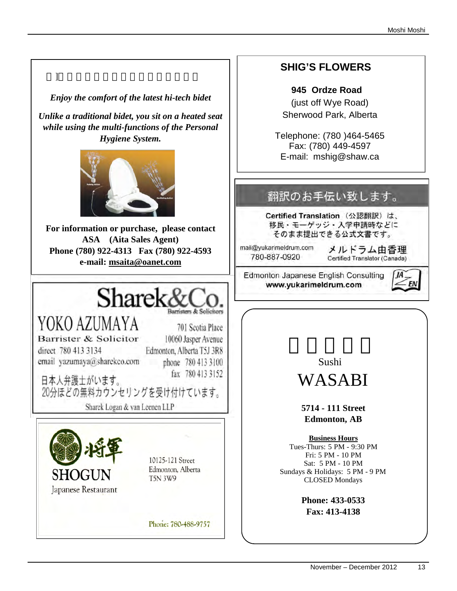## $\mathbf{I}$

*Enjoy the comfort of the latest hi-tech bidet* 

*Unlike a traditional bidet, you sit on a heated seat while using the multi-functions of the Personal Hygiene System.* 



**For information or purchase, please contact ASA (Aita Sales Agent) Phone (780) 922-4313 Fax (780) 922-4593 e-mail: msaita@oanet.com** 



# **SHIG'S FLOWERS**

**945 Ordze Road**  (just off Wye Road) Sherwood Park, Alberta

Telephone: (780 )464-5465 Fax: (780) 449-4597 E-mail: mshig@shaw.ca

# 翻訳のお手伝い致します。

Certified Translation (公認翻訳)は、 移民・モーゲッジ・入学申請時などに そのまま提出できる公式文書です。

mail@yukarimeldrum.com 780-887-0920

メルドラム由香理 Certified Translator (Canada)

Edmonton Japanese English Consulting www.yukarimeldrum.com



Sushi WASABI

**5714 - 111 Street Edmonton, AB** 

**Business Hours**  Tues-Thurs: 5 PM - 9:30 PM Fri: 5 PM - 10 PM Sat: 5 PM - 10 PM Sundays & Holidays: 5 PM - 9 PM CLOSED Mondays

> **Phone: 433-0533 Fax: 413-4138**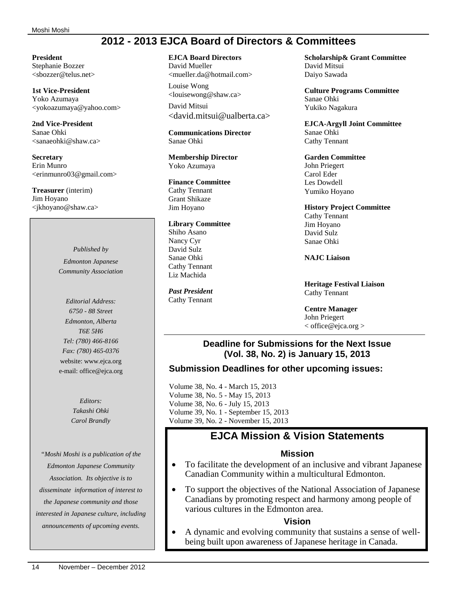# **2012 - 2013 EJCA Board of Directors & Committees**

**President** 

Stephanie Bozzer <sbozzer@telus.net>

**1st Vice-President**  Yoko Azumaya <yokoazumaya@yahoo.com>

**2nd Vice-President**  Sanae Ohki <sanaeohki@shaw.ca>

**Secretary**  Erin Munro <erinmunro03@gmail.com>

**Treasurer** (interim) Jim Hoyano <jkhoyano@shaw.ca>

> *Published by Edmonton Japanese Community Association*

> *Editorial Address: 6750 - 88 Street Edmonton, Alberta T6E 5H6 Tel: (780) 466-8166 Fax: (780) 465-0376*  website: www.ejca.org e-mail: office@ejca.org

> > *Editors: Takashi Ohki Carol Brandly*

*"Moshi Moshi is a publication of the Edmonton Japanese Community Association. Its objective is to disseminate information of interest to the Japanese community and those interested in Japanese culture, including announcements of upcoming events.* 

**EJCA Board Directors**  David Mueller <mueller.da@hotmail.com>

Louise Wong <louisewong@shaw.ca> David Mitsui <david.mitsui@ualberta.ca>

**Communications Director**  Sanae Ohki

**Membership Director**  Yoko Azumaya

**Finance Committee**  Cathy Tennant Grant Shikaze Jim Hoyano

**Library Committee** Shiho Asano Nancy Cyr David Sulz Sanae Ohki Cathy Tennant Liz Machida

*Past President*  Cathy Tennant **Scholarship& Grant Committee** David Mitsui Daiyo Sawada

**Culture Programs Committee**  Sanae Ohki Yukiko Nagakura

**EJCA-Argyll Joint Committee**  Sanae Ohki Cathy Tennant

**Garden Committee**  John Priegert Carol Eder Les Dowdell Yumiko Hoyano

## **History Project Committee**

Cathy Tennant Jim Hoyano David Sulz Sanae Ohki

**NAJC Liaison**

**Heritage Festival Liaison** Cathy Tennant

**Centre Manager** John Priegert < office@ejca.org >

## **Deadline for Submissions for the Next Issue (Vol. 38, No. 2) is January 15, 2013**

## **Submission Deadlines for other upcoming issues:**

Volume 38, No. 4 - March 15, 2013 Volume 38, No. 5 - May 15, 2013 Volume 38, No. 6 - July 15, 2013 Volume 39, No. 1 - September 15, 2013 Volume 39, No. 2 - November 15, 2013

# **EJCA Mission & Vision Statements**

## **Mission**

- · To facilitate the development of an inclusive and vibrant Japanese Canadian Community within a multicultural Edmonton.
- · To support the objectives of the National Association of Japanese Canadians by promoting respect and harmony among people of various cultures in the Edmonton area.

## **Vision**

· A dynamic and evolving community that sustains a sense of wellbeing built upon awareness of Japanese heritage in Canada.